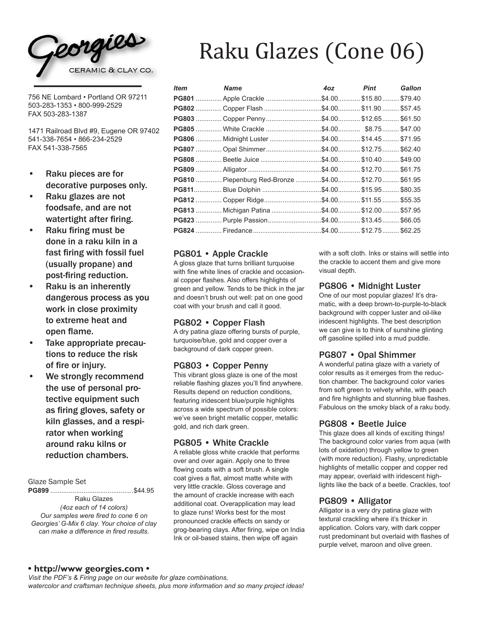

756 NE Lombard • Portland OR 97211 503-283-1353 • 800-999-2529 FAX 503-283-1387

1471 Railroad Blvd #9, Eugene OR 97402 541-338-7654 • 866-234-2529 FAX 541-338-7565

- Raku pieces are for decorative purposes only.
- Raku glazes are not foodsafe, and are not watertight after firing.
- Raku firing must be done in a raku kiln in a fast firing with fossil fuel (usually propane) and post-firing reduction.
- Raku is an inherently dangerous process as you work in close proximity to extreme heat and open flame.
- Take appropriate precautions to reduce the risk of fire or injury.
- We strongly recommend the use of personal pro- tective equipment such as firing gloves, safety or kiln glasses, and a respirator when working around raku kilns or reduction chambers.

Glaze Sample Set

**PG899** .............................................\$44.95 Raku Glazes *(4oz each of 14 colors) Our samples were fired to cone 6 on Georgies' G-Mix 6 clay. Your choice of clay can make a difference in fired results.*

# Raku Glazes (Cone 06)

| Item | <b>Name</b>                                                | 4oz                        | Pint | <b>Gallon</b> |
|------|------------------------------------------------------------|----------------------------|------|---------------|
|      |                                                            |                            |      |               |
|      |                                                            |                            |      |               |
|      |                                                            |                            |      |               |
|      |                                                            | $.$ \$4.00 \$8.75 \$47.00  |      |               |
|      |                                                            |                            |      |               |
|      |                                                            |                            |      |               |
|      |                                                            | $.$ \$4.00 \$10.40 \$49.00 |      |               |
|      |                                                            |                            |      |               |
|      | <b>PG810</b> Piepenburg Red-Bronze \$4.00 \$12.70  \$61.95 |                            |      |               |
|      |                                                            | .\$4.00 \$15.95 \$80.35    |      |               |
|      |                                                            |                            |      |               |
|      |                                                            |                            |      |               |
|      |                                                            |                            |      |               |
|      |                                                            |                            |      |               |

# PG801 • Apple Crackle

A gloss glaze that turns brilliant turquoise with fine white lines of crackle and occasional copper flashes. Also offers highlights of green and yellow. Tends to be thick in the jar and doesn't brush out well: pat on one good coat with your brush and call it good.

#### PG802 • Copper Flash

A dry patina glaze offering bursts of purple, turquoise/blue, gold and copper over a background of dark copper green.

# PG803 • Copper Penny

This vibrant gloss glaze is one of the most reliable flashing glazes you'll find anywhere. Results depend on reduction conditions, featuring iridescent blue/purple highlights across a wide spectrum of possible colors: we've seen bright metallic copper, metallic gold, and rich dark green.

#### PG805 • White Crackle

A reliable gloss white crackle that performs over and over again. Apply one to three flowing coats with a soft brush. A single coat gives a flat, almost matte white with very little crackle. Gloss coverage and the amount of crackle increase with each additional coat. Overapplication may lead to glaze runs! Works best for the most pronounced crackle effects on sandy or grog-bearing clays. After firing, wipe on India Ink or oil-based stains, then wipe off again

with a soft cloth. Inks or stains will settle into the crackle to accent them and give more visual depth.

# PG806 • Midnight Luster

One of our most popular glazes! It's dramatic, with a deep brown-to-purple-to-black background with copper luster and oil-like iridescent highlights. The best description we can give is to think of sunshine glinting off gasoline spilled into a mud puddle.

# PG807 • Opal Shimmer

A wonderful patina glaze with a variety of color results as it emerges from the reduction chamber. The background color varies from soft green to velvety white, with peach and fire highlights and stunning blue flashes. Fabulous on the smoky black of a raku body.

# PG808 • Beetle Juice

This glaze does all kinds of exciting things! The background color varies from aqua (with lots of oxidation) through yellow to green (with more reduction). Flashy, unpredictable highlights of metallic copper and copper red may appear, overlaid with iridescent highlights like the back of a beetle. Crackles, too!

# PG809 • Alligator

Alligator is a very dry patina glaze with textural crackling where it's thicker in application. Colors vary, with dark copper rust predominant but overlaid with flashes of purple velvet, maroon and olive green.

# **• http://www georgies.com •**

*Visit the PDF's & Firing page on our website for glaze combinations, watercolor and craftsman technique sheets, plus more information and so many project ideas!*